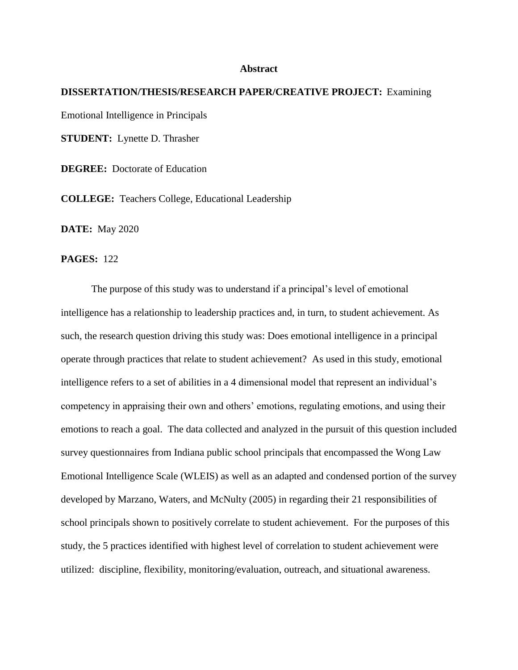## **Abstract**

## **DISSERTATION/THESIS/RESEARCH PAPER/CREATIVE PROJECT:** Examining Emotional Intelligence in Principals **STUDENT:** Lynette D. Thrasher **DEGREE:** Doctorate of Education

**COLLEGE:** Teachers College, Educational Leadership

**DATE:** May 2020

## **PAGES:** 122

The purpose of this study was to understand if a principal's level of emotional intelligence has a relationship to leadership practices and, in turn, to student achievement. As such, the research question driving this study was: Does emotional intelligence in a principal operate through practices that relate to student achievement? As used in this study, emotional intelligence refers to a set of abilities in a 4 dimensional model that represent an individual's competency in appraising their own and others' emotions, regulating emotions, and using their emotions to reach a goal. The data collected and analyzed in the pursuit of this question included survey questionnaires from Indiana public school principals that encompassed the Wong Law Emotional Intelligence Scale (WLEIS) as well as an adapted and condensed portion of the survey developed by Marzano, Waters, and McNulty (2005) in regarding their 21 responsibilities of school principals shown to positively correlate to student achievement. For the purposes of this study, the 5 practices identified with highest level of correlation to student achievement were utilized: discipline, flexibility, monitoring/evaluation, outreach, and situational awareness.